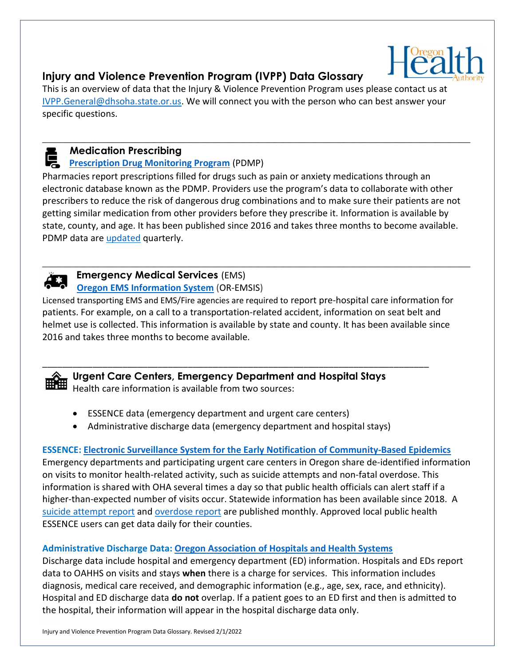

# Injury and Violence Prevention Program (IVPP) Data Glossary

This is an overview of data that the Injury & Violence Prevention Program uses please contact us at IVPP.General@dhsoha.state.or.us. We will connect you with the person who can best answer your specific questions.

# Medication Prescribing

# **Prescription Drug Monitoring Program** (PDMP)

Pharmacies report prescriptions filled for drugs such as pain or anxiety medications through an electronic database known as the PDMP. Providers use the program's data to collaborate with other prescribers to reduce the risk of dangerous drug combinations and to make sure their patients are not getting similar medication from other providers before they prescribe it. Information is available by state, county, and age. It has been published since 2016 and takes three months to become available. PDMP data are updated quarterly.

 $\_$  , and the set of the set of the set of the set of the set of the set of the set of the set of the set of the set of the set of the set of the set of the set of the set of the set of the set of the set of the set of th

 $\_$  , and the set of the set of the set of the set of the set of the set of the set of the set of the set of the set of the set of the set of the set of the set of the set of the set of the set of the set of the set of th



## Emergency Medical Services (EMS) Oregon EMS Information System (OR-EMSIS)

Licensed transporting EMS and EMS/Fire agencies are required to report pre-hospital care information for patients. For example, on a call to a transportation-related accident, information on seat belt and helmet use is collected. This information is available by state and county. It has been available since 2016 and takes three months to become available.



Urgent Care Centers, Emergency Department and Hospital Stays Health care information is available from two sources:

\_\_\_\_\_\_\_\_\_\_\_\_\_\_\_\_\_\_\_\_\_\_\_\_\_\_\_\_\_\_\_\_\_\_\_\_\_\_\_\_\_\_\_\_\_\_\_\_\_\_\_\_\_\_\_\_\_\_\_\_\_\_\_\_\_\_\_\_\_\_\_\_\_\_\_\_\_

- ESSENCE data (emergency department and urgent care centers)
- Administrative discharge data (emergency department and hospital stays)

# ESSENCE: Electronic Surveillance System for the Early Notification of Community-Based Epidemics

Emergency departments and participating urgent care centers in Oregon share de-identified information on visits to monitor health-related activity, such as suicide attempts and non-fatal overdose. This information is shared with OHA several times a day so that public health officials can alert staff if a higher-than-expected number of visits occur. Statewide information has been available since 2018. A suicide attempt report and overdose report are published monthly. Approved local public health ESSENCE users can get data daily for their counties.

## Administrative Discharge Data: Oregon Association of Hospitals and Health Systems

Discharge data include hospital and emergency department (ED) information. Hospitals and EDs report data to OAHHS on visits and stays when there is a charge for services. This information includes diagnosis, medical care received, and demographic information (e.g., age, sex, race, and ethnicity). Hospital and ED discharge data **do not** overlap. If a patient goes to an ED first and then is admitted to the hospital, their information will appear in the hospital discharge data only.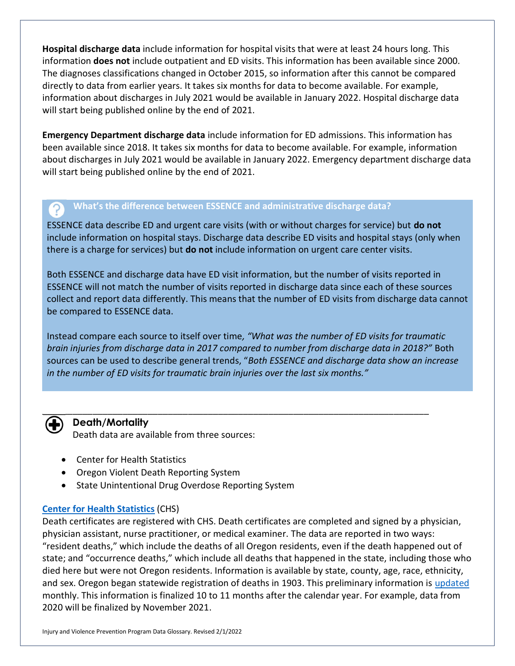Hospital discharge data include information for hospital visits that were at least 24 hours long. This information does not include outpatient and ED visits. This information has been available since 2000. The diagnoses classifications changed in October 2015, so information after this cannot be compared directly to data from earlier years. It takes six months for data to become available. For example, information about discharges in July 2021 would be available in January 2022. Hospital discharge data will start being published online by the end of 2021.

Emergency Department discharge data include information for ED admissions. This information has been available since 2018. It takes six months for data to become available. For example, information about discharges in July 2021 would be available in January 2022. Emergency department discharge data will start being published online by the end of 2021.

### What's the difference between ESSENCE and administrative discharge data?

ESSENCE data describe ED and urgent care visits (with or without charges for service) but **do not** include information on hospital stays. Discharge data describe ED visits and hospital stays (only when there is a charge for services) but do not include information on urgent care center visits.

Both ESSENCE and discharge data have ED visit information, but the number of visits reported in ESSENCE will not match the number of visits reported in discharge data since each of these sources collect and report data differently. This means that the number of ED visits from discharge data cannot be compared to ESSENCE data.

Instead compare each source to itself over time, "What was the number of ED visits for traumatic brain injuries from discharge data in 2017 compared to number from discharge data in 2018?" Both sources can be used to describe general trends, "Both ESSENCE and discharge data show an increase in the number of ED visits for traumatic brain injuries over the last six months."



### Death/Mortality

Death data are available from three sources:

- Center for Health Statistics
- Oregon Violent Death Reporting System
- State Unintentional Drug Overdose Reporting System

#### Center for Health Statistics (CHS)

Death certificates are registered with CHS. Death certificates are completed and signed by a physician, physician assistant, nurse practitioner, or medical examiner. The data are reported in two ways: "resident deaths," which include the deaths of all Oregon residents, even if the death happened out of state; and "occurrence deaths," which include all deaths that happened in the state, including those who died here but were not Oregon residents. Information is available by state, county, age, race, ethnicity, and sex. Oregon began statewide registration of deaths in 1903. This preliminary information is updated monthly. This information is finalized 10 to 11 months after the calendar year. For example, data from 2020 will be finalized by November 2021.